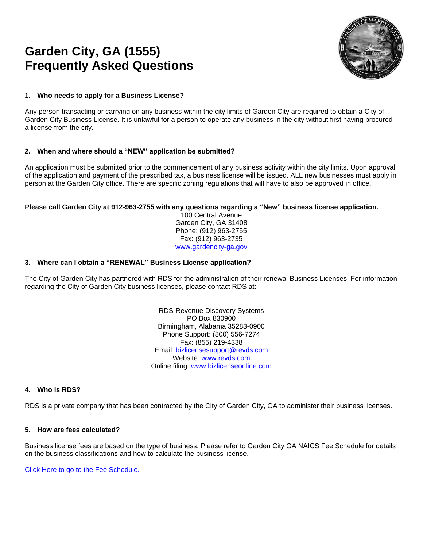# **Garden City, GA (1555) Frequently Asked Questions**



### **1. Who needs to apply for a Business License?**

Any person transacting or carrying on any business within the city limits of Garden City are required to obtain a City of Garden City Business License. It is unlawful for a person to operate any business in the city without first having procured a license from the city.

## **2. When and where should a "NEW" application be submitted?**

An application must be submitted prior to the commencement of any business activity within the city limits. Upon approval of the application and payment of the prescribed tax, a business license will be issued. ALL new businesses must apply in person at the Garden City office. There are specific zoning regulations that will have to also be approved in office.

#### **Please call Garden City at 912-963-2755 with any questions regarding a "New" business license application.**

100 Central Avenue Garden City, GA 31408 Phone: (912) 963-2755 Fax: (912) 963-2735 www.gardencity-ga.gov

#### **3. Where can I obtain a "RENEWAL" Business License application?**

The City of Garden City has partnered with RDS for the administration of their renewal Business Licenses. For information regarding the City of Garden City business licenses, please contact RDS at:

> RDS-Revenue Discovery Systems PO Box 830900 Birmingham, Alabama 35283-0900 Phone Support: (800) 556-7274 Fax: (855) 219-4338 Email: [bizlicensesupport@revds.com](mailto:bizlicensesupport@revds.com) Website: [www.revds.com](http://www.revds.com/) Online filing: [www.bizlicenseonline.com](http://www.bizlicenseonline.com/)

#### **4. Who is RDS?**

RDS is a private company that has been contracted by the City of Garden City, GA to administer their business licenses.

#### **5. How are fees calculated?**

Business license fees are based on the type of business. Please refer to Garden City GA NAICS Fee Schedule for details on the business classifications and how to calculate the business license.

Click Here to go to the Fee Schedule.